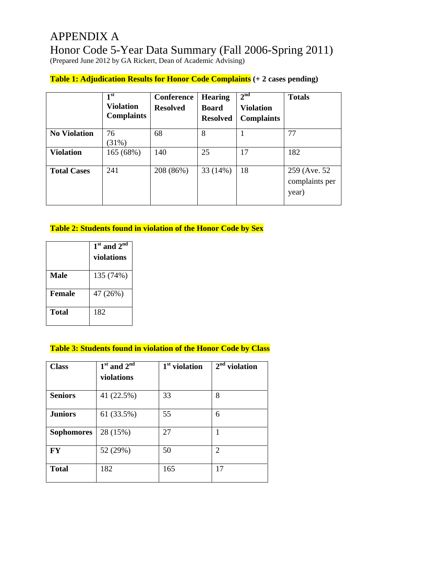# APPENDIX A Honor Code 5-Year Data Summary (Fall 2006-Spring 2011)

(Prepared June 2012 by GA Rickert, Dean of Academic Advising)

# **Table 1: Adjudication Results for Honor Code Complaints (+ 2 cases pending)**

|                     | 1 <sup>st</sup><br><b>Violation</b><br><b>Complaints</b> | Conference<br><b>Resolved</b> | <b>Hearing</b><br><b>Board</b><br><b>Resolved</b> | 2 <sup>nd</sup><br><b>Violation</b><br><b>Complaints</b> | <b>Totals</b>                            |
|---------------------|----------------------------------------------------------|-------------------------------|---------------------------------------------------|----------------------------------------------------------|------------------------------------------|
| <b>No Violation</b> | 76<br>(31%)                                              | 68                            | 8                                                 |                                                          | 77                                       |
| <b>Violation</b>    | 165 (68%)                                                | 140                           | 25                                                | 17                                                       | 182                                      |
| <b>Total Cases</b>  | 241                                                      | 208 (86%)                     | 33 (14%)                                          | 18                                                       | 259 (Ave. 52)<br>complaints per<br>year) |

## **Table 2: Students found in violation of the Honor Code by Sex**

|               | $1st$ and $2nd$ |  |  |  |  |
|---------------|-----------------|--|--|--|--|
|               | violations      |  |  |  |  |
| Male          | 135 (74%)       |  |  |  |  |
|               |                 |  |  |  |  |
| <b>Female</b> | 47 (26%)        |  |  |  |  |
| Total         | 182             |  |  |  |  |
|               |                 |  |  |  |  |

#### **Table 3: Students found in violation of the Honor Code by Class**

| <b>Class</b>      | $1st$ and $2nd$<br>violations | $1st$ violation | $2nd$ violation |
|-------------------|-------------------------------|-----------------|-----------------|
| <b>Seniors</b>    | 41 (22.5%)                    | 33              | 8               |
| <b>Juniors</b>    | 61 (33.5%)                    | 55              | 6               |
| <b>Sophomores</b> | 28 (15%)                      | 27              | 1               |
| FY                | 52 (29%)                      | 50              | $\overline{2}$  |
| <b>Total</b>      | 182                           | 165             | 17              |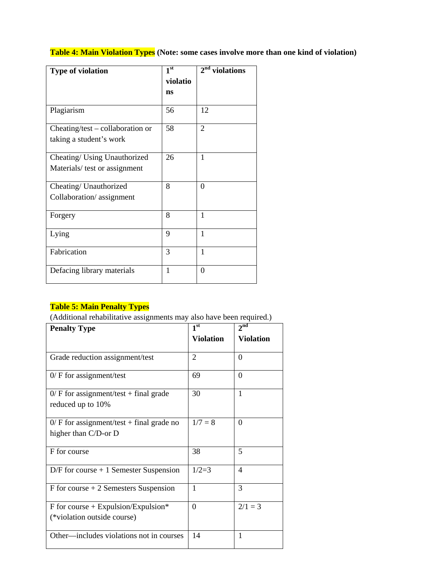**Table 4: Main Violation Types (Note: some cases involve more than one kind of violation)** 

| Type of violation                | 1 <sup>st</sup> | $2nd$ violations |
|----------------------------------|-----------------|------------------|
|                                  | violatio        |                  |
|                                  | ns              |                  |
| Plagiarism                       | 56              | 12               |
| Cheating/test – collaboration or | 58              | $\overline{2}$   |
| taking a student's work          |                 |                  |
| Cheating/ Using Unauthorized     | 26              | 1                |
| Materials/ test or assignment    |                 |                  |
| Cheating/ Unauthorized           | 8               | $\theta$         |
| Collaboration/assignment         |                 |                  |
| Forgery                          | 8               | 1                |
| Lying                            | 9               | 1                |
| Fabrication                      | 3               | 1                |
| Defacing library materials       | 1               | $\theta$         |

#### **Table 5: Main Penalty Types**

(Additional rehabilitative assignments may also have been required.)

| <b>Penalty Type</b>                                                  | 1 <sup>st</sup>  | 2 <sup>nd</sup>  |  |
|----------------------------------------------------------------------|------------------|------------------|--|
|                                                                      | <b>Violation</b> | <b>Violation</b> |  |
| Grade reduction assignment/test                                      | $\overline{c}$   | $\Omega$         |  |
| $0/$ F for assignment/test                                           | 69               | $\Omega$         |  |
| $0/F$ for assignment/test + final grade<br>reduced up to 10%         | 30               | $\mathbf{1}$     |  |
| $0$ / F for assignment/test + final grade no<br>higher than C/D-or D | $1/7 = 8$        | $\Omega$         |  |
| F for course                                                         | 38               | 5                |  |
| $D/F$ for course + 1 Semester Suspension                             | $1/2=3$          | 4                |  |
| $F$ for course $+2$ Semesters Suspension                             | 1                | 3                |  |
| $F$ for course + Expulsion/Expulsion*<br>(*violation outside course) | $\Omega$         | $2/1 = 3$        |  |
| Other—includes violations not in courses                             | 14               | 1                |  |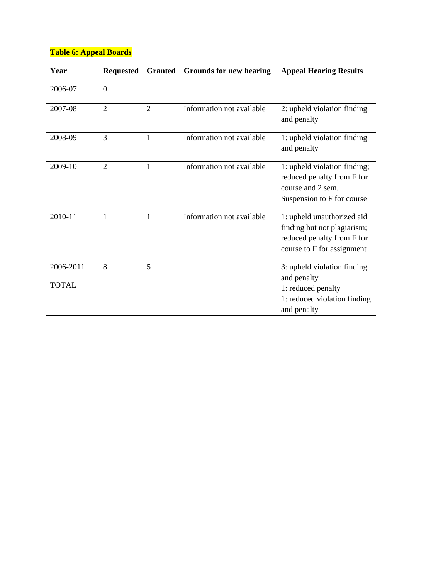# **Table 6: Appeal Boards**

| Year                      | <b>Requested</b> | <b>Granted</b> | <b>Grounds for new hearing</b> | <b>Appeal Hearing Results</b>                                                                                         |
|---------------------------|------------------|----------------|--------------------------------|-----------------------------------------------------------------------------------------------------------------------|
| 2006-07                   | $\overline{0}$   |                |                                |                                                                                                                       |
| 2007-08                   | $\overline{2}$   | $\overline{2}$ | Information not available      | 2: upheld violation finding<br>and penalty                                                                            |
| 2008-09                   | 3                | 1              | Information not available      | 1: upheld violation finding<br>and penalty                                                                            |
| 2009-10                   | $\overline{2}$   | 1              | Information not available      | 1: upheld violation finding;<br>reduced penalty from F for<br>course and 2 sem.<br>Suspension to F for course         |
| 2010-11                   | 1                | 1              | Information not available      | 1: upheld unauthorized aid<br>finding but not plagiarism;<br>reduced penalty from F for<br>course to F for assignment |
| 2006-2011<br><b>TOTAL</b> | 8                | 5              |                                | 3: upheld violation finding<br>and penalty<br>1: reduced penalty<br>1: reduced violation finding<br>and penalty       |